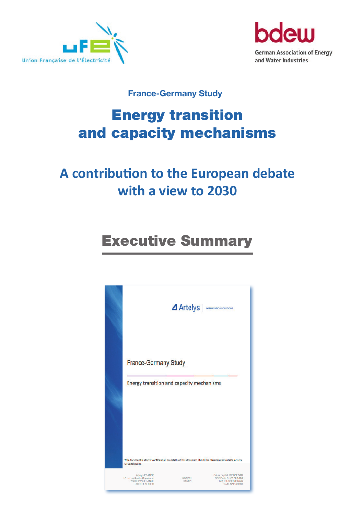



### **France-Germany Study**

# Energy transition and capacity mechanisms

## **A contribution to the European debate with a view to 2030**

## Executive Summary

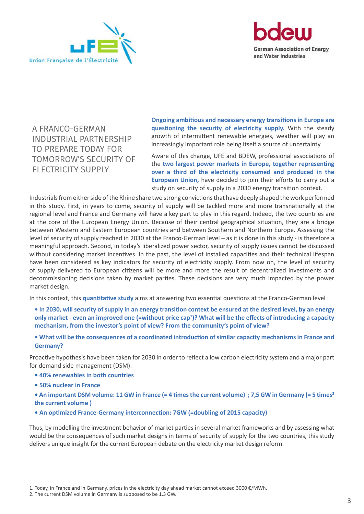



A FRANCO-GERMAN INDUSTRIAL PARTNERSHIP TO PREPARE TODAY FOR TOMORROW'S SECURITY OF ELECTRICITY SUPPLY

**Ongoing ambitious and necessary energy transitions in Europe are questioning the security of electricity supply.** With the steady growth of intermittent renewable energies, weather will play an increasingly important role being itself a source of uncertainty.

Aware of this change, UFE and BDEW, professional associations of the **two largest power markets in Europe, together representing over a third of the electricity consumed and produced in the European Union,** have decided to join their efforts to carry out a study on security of supply in a 2030 energy transition context.

Industrials from either side of the Rhine share two strong convictions that have deeply shaped the work performed in this study. First, in years to come, security of supply will be tackled more and more transnationally at the regional level and France and Germany will have a key part to play in this regard. Indeed, the two countries are at the core of the European Energy Union. Because of their central geographical situation, they are a bridge between Western and Eastern European countries and between Southern and Northern Europe. Assessing the level of security of supply reached in 2030 at the Franco-German level – as it is done in this study - is therefore a meaningful approach. Second, in today's liberalized power sector, security of supply issues cannot be discussed without considering market incentives. In the past, the level of installed capacities and their technical lifespan have been considered as key indicators for security of electricity supply. From now on, the level of security of supply delivered to European citizens will be more and more the result of decentralized investments and decommissioning decisions taken by market parties. These decisions are very much impacted by the power market design.

In this context, this **quantitative study** aims at answering two essential questions at the Franco-German level :

- **In 2030, will security of supply in an energy transition context be ensured at the desired level, by an energy only market - even an improved one (=without price cap<sup>1</sup> )? What will be the effects of introducing a capacity mechanism, from the investor's point of view? From the community's point of view?**
- **What will be the consequences of a coordinated introduction of similar capacity mechanisms in France and Germany?**

Proactive hypothesis have been taken for 2030 in order to reflect a low carbon electricity system and a major part for demand side management (DSM):

- **40% renewables in both countries**
- **50% nuclear in France**

**• An important DSM volume: 11 GW in France (= 4 times the current volume) ; 7,5 GW in Germany (= 5 times2 the current volume )**

**• An optimized France-Germany interconnection: 7GW (=doubling of 2015 capacity)**

Thus, by modelling the investment behavior of market parties in several market frameworks and by assessing what would be the consequences of such market designs in terms of security of supply for the two countries, this study delivers unique insight for the current European debate on the electricity market design reform.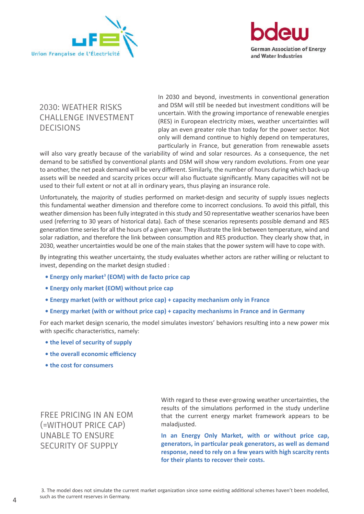



#### 2030: WEATHER RISKS CHALLENGE INVESTMENT DECISIONS

In 2030 and beyond, investments in conventional generation and DSM will still be needed but investment conditions will be uncertain. With the growing importance of renewable energies (RES) in European electricity mixes, weather uncertainties will play an even greater role than today for the power sector. Not only will demand continue to highly depend on temperatures, particularly in France, but generation from renewable assets

will also vary greatly because of the variability of wind and solar resources. As a consequence, the net demand to be satisfied by conventional plants and DSM will show very random evolutions. From one year to another, the net peak demand will be very different. Similarly, the number of hours during which back-up assets will be needed and scarcity prices occur will also fluctuate significantly. Many capacities will not be used to their full extent or not at all in ordinary years, thus playing an insurance role.

Unfortunately, the majority of studies performed on market-design and security of supply issues neglects this fundamental weather dimension and therefore come to incorrect conclusions. To avoid this pitfall, this weather dimension has been fully integrated in this study and 50 representative weather scenarios have been used (referring to 30 years of historical data). Each of these scenarios represents possible demand and RES generation time series for all the hours of a given year. They illustrate the link between temperature, wind and solar radiation, and therefore the link between consumption and RES production. They clearly show that, in 2030, weather uncertainties would be one of the main stakes that the power system will have to cope with.

By integrating this weather uncertainty, the study evaluates whether actors are rather willing or reluctant to invest, depending on the market design studied :

- **Energy only market<sup>3</sup> (EOM) with de facto price cap**
- **Energy only market (EOM) without price cap**
- **Energy market (with or without price cap) + capacity mechanism only in France**
- **Energy market (with or without price cap) + capacity mechanisms in France and in Germany**

For each market design scenario, the model simulates investors' behaviors resulting into a new power mix with specific characteristics, namely:

- **the level of security of supply**
- **the overall economic efficiency**
- **the cost for consumers**

FREE PRICING IN AN EOM (=WITHOUT PRICE CAP) UNABLE TO ENSURE SECURITY OF SUPPLY

With regard to these ever-growing weather uncertainties, the results of the simulations performed in the study underline that the current energy market framework appears to be maladjusted.

**In an Energy Only Market, with or without price cap, generators, in particular peak generators, as well as demand response, need to rely on a few years with high scarcity rents for their plants to recover their costs.**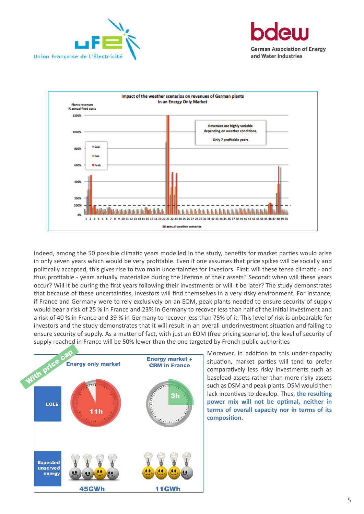





Indeed, among the 50 possible climatic years modelled in the study, benefits for market parties would arise in only seven years which would be very profitable. Even if one assumes that price spikes will be socially and politically accepted, this gives rise to two main uncertainties for investors. First: will these tense climatic - and thus profitable - years actually materialize during the lifetime of their assets? Second: when will these years occur? Will it be during the first years following their investments or will it be later? The study demonstrates that because of these uncertainties, investors will find themselves in a very risky environment. For instance, if France and Germany were to rely exclusively on an EOM, peak plants needed to ensure security of supply would bear a risk of 25 % in France and 23% in Germany to recover less than half of the initial investment and a risk of 40 % in France and 39 % in Germany to recover less than 75% of it. This level of risk is unbearable for investors and the study demonstrates that it will result in an overall underinvestment situation and failing to ensure security of supply. As a matter of fact, with just an EOM (free pricing scenario), the level of security of supply reached in France will be 50% lower than the one targeted by French public authorities



Moreover, in addition to this under-capacity situation, market parties will tend to prefer comparatively less risky investments such as baseload assets rather than more risky assets such as DSM and peak plants. DSM would then lack incentives to develop. Thus, **the resulting power mix will not be optimal, neither in terms of overall capacity nor in terms of its composition.**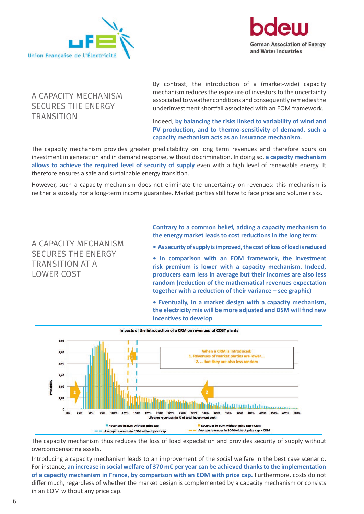



#### A CAPACITY MECHANISM SECURES THE ENERGY **TRANSITION**

By contrast, the introduction of a (market-wide) capacity mechanism reduces the exposure of investors to the uncertainty associated to weather conditions and consequently remedies the underinvestment shortfall associated with an EOM framework.

#### Indeed, **by balancing the risks linked to variability of wind and PV production, and to thermo-sensitivity of demand, such a capacity mechanism acts as an insurance mechanism.**

The capacity mechanism provides greater predictability on long term revenues and therefore spurs on investment in generation and in demand response, without discrimination. In doing so, **a capacity mechanism allows to achieve the required level of security of supply** even with a high level of renewable energy. It therefore ensures a safe and sustainable energy transition.

However, such a capacity mechanism does not eliminate the uncertainty on revenues: this mechanism is neither a subsidy nor a long-term income guarantee. Market parties still have to face price and volume risks.

A CAPACITY MECHANISM SECURES THE ENERGY TRANSITION AT A LOWER COST

**Contrary to a common belief, adding a capacity mechanism to the energy market leads to cost reductions in the long term:**

- **As security of supply is improved, the cost of loss of load is reduced**
- **In comparison with an EOM framework, the investment risk premium is lower with a capacity mechanism. Indeed, producers earn less in average but their incomes are also less random (reduction of the mathematical revenues expectation together with a reduction of their variance – see graphic)**
- **Eventually, in a market design with a capacity mechanism, the electricity mix will be more adjusted and DSM will find new incentives to develop**



The capacity mechanism thus reduces the loss of load expectation and provides security of supply without overcompensating assets.

Introducing a capacity mechanism leads to an improvement of the social welfare in the best case scenario. For instance, **an increase in social welfare of 370 m€ per year can be achieved thanks to the implementation**  of a capacity mechanism in France, by comparison with an EOM with price cap. Furthermore, costs do not differ much, regardless of whether the market design is complemented by a capacity mechanism or consists in an EOM without any price cap.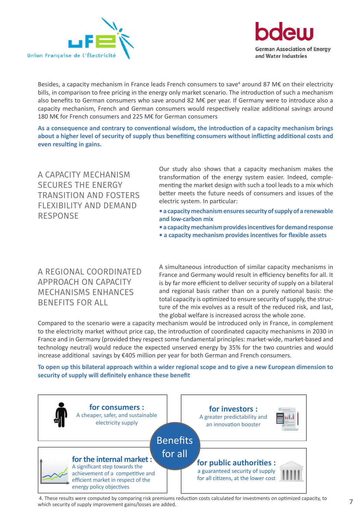



Besides, a capacity mechanism in France leads French consumers to save<sup>4</sup> around 87 M€ on their electricity bills, in comparison to free pricing in the energy only market scenario. The introduction of such a mechanism also benefits to German consumers who save around 82 M€ per year. If Germany were to introduce also a capacity mechanism, French and German consumers would respectively realize additional savings around 180 M€ for French consumers and 225 M€ for German consumers

**As a consequence and contrary to conventional wisdom, the introduction of a capacity mechanism brings about a higher level of security of supply thus benefiting consumers without inflicting additional costs and even resulting in gains.**

A CAPACITY MECHANISM SECURES THE ENERGY TRANSITION AND FOSTERS FLEXIBILITY AND DEMAND RESPONSE

Our study also shows that a capacity mechanism makes the transformation of the energy system easier. Indeed, complementing the market design with such a tool leads to a mix which better meets the future needs of consumers and issues of the electric system. In particular:

- **a capacity mechanism ensures security of supply of a renewable and low-carbon mix**
- **a capacity mechanism provides incentives for demand response**
- **a capacity mechanism provides incentives for flexible assets**

A REGIONAL COORDINATED APPROACH ON CAPACITY MECHANISMS ENHANCES BENEFITS FOR ALL

A simultaneous introduction of similar capacity mechanisms in France and Germany would result in efficiency benefits for all. It is by far more efficient to deliver security of supply on a bilateral and regional basis rather than on a purely national basis: the total capacity is optimized to ensure security of supply, the structure of the mix evolves as a result of the reduced risk, and last, the global welfare is increased across the whole zone.

Compared to the scenario were a capacity mechanism would be introduced only in France, in complement to the electricity market without price cap, the introduction of coordinated capacity mechanisms in 2030 in France and in Germany (provided they respect some fundamental principles: market-wide, market-based and technology neutral) would reduce the expected unserved energy by 35% for the two countries and would increase additional savings by €405 million per year for both German and French consumers.

**To open up this bilateral approach within a wider regional scope and to give a new European dimension to security of supply will definitely enhance these benefit**



4. These results were computed by comparing risk premiums reduction costs calculated for investments on optimized capacity, to  $\overline{7}$ which security of supply improvement gains/losses are added.